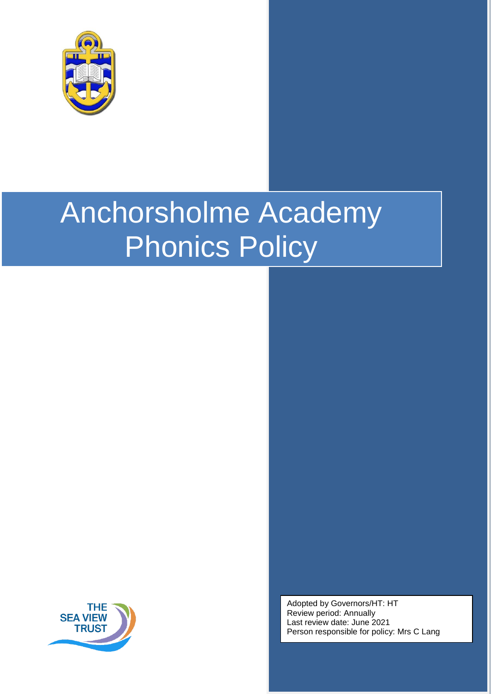

# Anchorsholme Academy Phonics Policy



Adopted by Governors/HT: HT Review period: Annually Last review date: June 2021 Person responsible for policy: Mrs C Lang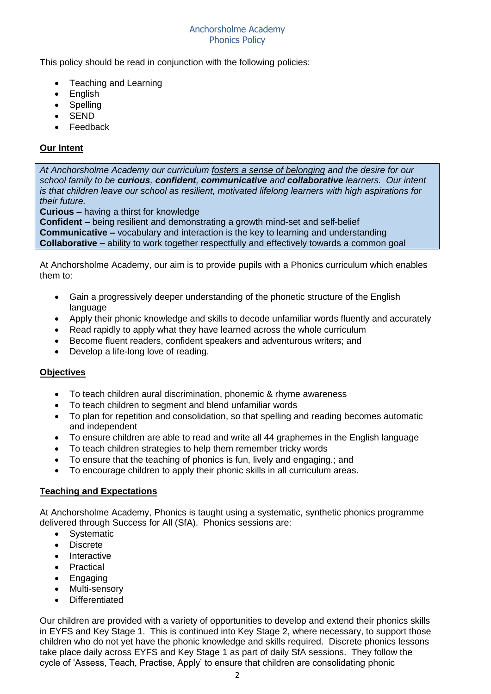#### Anchorsholme Academy Phonics Policy

This policy should be read in conjunction with the following policies:

- Teaching and Learning
- English
- Spelling
- **SEND**
- Feedback

## **Our Intent**

*At Anchorsholme Academy our curriculum fosters a sense of belonging and the desire for our school family to be curious, confident, communicative and collaborative learners. Our intent is that children leave our school as resilient, motivated lifelong learners with high aspirations for their future.*

**Curious –** having a thirst for knowledge

**Confident –** being resilient and demonstrating a growth mind-set and self-belief **Communicative –** vocabulary and interaction is the key to learning and understanding **Collaborative –** ability to work together respectfully and effectively towards a common goal

At Anchorsholme Academy, our aim is to provide pupils with a Phonics curriculum which enables them to:

- Gain a progressively deeper understanding of the phonetic structure of the English language
- Apply their phonic knowledge and skills to decode unfamiliar words fluently and accurately
- Read rapidly to apply what they have learned across the whole curriculum
- Become fluent readers, confident speakers and adventurous writers; and
- Develop a life-long love of reading.

## **Objectives**

- To teach children aural discrimination, phonemic & rhyme awareness
- To teach children to segment and blend unfamiliar words
- To plan for repetition and consolidation, so that spelling and reading becomes automatic and independent
- To ensure children are able to read and write all 44 graphemes in the English language
- To teach children strategies to help them remember tricky words
- To ensure that the teaching of phonics is fun, lively and engaging.; and
- To encourage children to apply their phonic skills in all curriculum areas.

## **Teaching and Expectations**

At Anchorsholme Academy, Phonics is taught using a systematic, synthetic phonics programme delivered through Success for All (SfA). Phonics sessions are:

- Systematic
- Discrete
- Interactive
- Practical
- **Engaging**
- Multi-sensory
- Differentiated

Our children are provided with a variety of opportunities to develop and extend their phonics skills in EYFS and Key Stage 1. This is continued into Key Stage 2, where necessary, to support those children who do not yet have the phonic knowledge and skills required. Discrete phonics lessons take place daily across EYFS and Key Stage 1 as part of daily SfA sessions. They follow the cycle of 'Assess, Teach, Practise, Apply' to ensure that children are consolidating phonic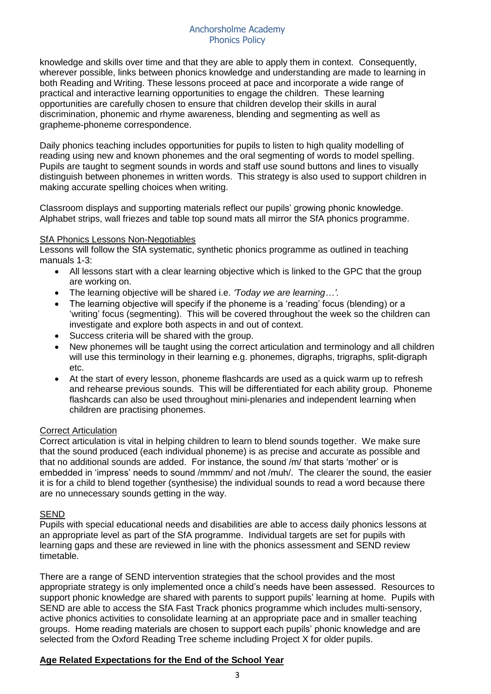#### Anchorsholme Academy Phonics Policy

knowledge and skills over time and that they are able to apply them in context. Consequently, wherever possible, links between phonics knowledge and understanding are made to learning in both Reading and Writing. These lessons proceed at pace and incorporate a wide range of practical and interactive learning opportunities to engage the children. These learning opportunities are carefully chosen to ensure that children develop their skills in aural discrimination, phonemic and rhyme awareness, blending and segmenting as well as grapheme-phoneme correspondence.

Daily phonics teaching includes opportunities for pupils to listen to high quality modelling of reading using new and known phonemes and the oral segmenting of words to model spelling. Pupils are taught to segment sounds in words and staff use sound buttons and lines to visually distinguish between phonemes in written words. This strategy is also used to support children in making accurate spelling choices when writing.

Classroom displays and supporting materials reflect our pupils' growing phonic knowledge. Alphabet strips, wall friezes and table top sound mats all mirror the SfA phonics programme.

## **SfA Phonics Lessons Non-Negotiables**

Lessons will follow the SfA systematic, synthetic phonics programme as outlined in teaching manuals 1-3:

- All lessons start with a clear learning objective which is linked to the GPC that the group are working on.
- The learning objective will be shared i.e. *'Today we are learning…'*.
- The learning objective will specify if the phoneme is a 'reading' focus (blending) or a 'writing' focus (segmenting). This will be covered throughout the week so the children can investigate and explore both aspects in and out of context.
- Success criteria will be shared with the group.
- New phonemes will be taught using the correct articulation and terminology and all children will use this terminology in their learning e.g. phonemes, digraphs, trigraphs, split-digraph etc.
- At the start of every lesson, phoneme flashcards are used as a quick warm up to refresh and rehearse previous sounds. This will be differentiated for each ability group. Phoneme flashcards can also be used throughout mini-plenaries and independent learning when children are practising phonemes.

# **Correct Articulation**

Correct articulation is vital in helping children to learn to blend sounds together. We make sure that the sound produced (each individual phoneme) is as precise and accurate as possible and that no additional sounds are added. For instance, the sound /m/ that starts 'mother' or is embedded in 'impress' needs to sound /mmmm/ and not /muh/. The clearer the sound, the easier it is for a child to blend together (synthesise) the individual sounds to read a word because there are no unnecessary sounds getting in the way.

## **SEND**

Pupils with special educational needs and disabilities are able to access daily phonics lessons at an appropriate level as part of the SfA programme. Individual targets are set for pupils with learning gaps and these are reviewed in line with the phonics assessment and SEND review timetable.

There are a range of SEND intervention strategies that the school provides and the most appropriate strategy is only implemented once a child's needs have been assessed. Resources to support phonic knowledge are shared with parents to support pupils' learning at home. Pupils with SEND are able to access the SfA Fast Track phonics programme which includes multi-sensory, active phonics activities to consolidate learning at an appropriate pace and in smaller teaching groups. Home reading materials are chosen to support each pupils' phonic knowledge and are selected from the Oxford Reading Tree scheme including Project X for older pupils.

## **Age Related Expectations for the End of the School Year**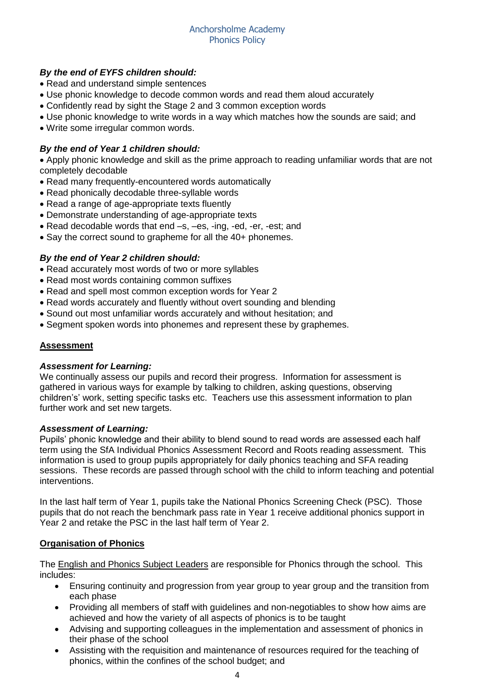## *By the end of EYFS children should:*

- Read and understand simple sentences
- Use phonic knowledge to decode common words and read them aloud accurately
- Confidently read by sight the Stage 2 and 3 common exception words
- Use phonic knowledge to write words in a way which matches how the sounds are said; and
- Write some irregular common words.

## *By the end of Year 1 children should:*

 Apply phonic knowledge and skill as the prime approach to reading unfamiliar words that are not completely decodable

- Read many frequently-encountered words automatically
- Read phonically decodable three-syllable words
- Read a range of age-appropriate texts fluently
- Demonstrate understanding of age-appropriate texts
- Read decodable words that end –s, –es, -ing, -ed, -er, -est; and
- Say the correct sound to grapheme for all the 40+ phonemes.

## *By the end of Year 2 children should:*

- Read accurately most words of two or more syllables
- Read most words containing common suffixes
- Read and spell most common exception words for Year 2
- Read words accurately and fluently without overt sounding and blending
- Sound out most unfamiliar words accurately and without hesitation; and
- Segment spoken words into phonemes and represent these by graphemes.

## **Assessment**

## *Assessment for Learning:*

We continually assess our pupils and record their progress. Information for assessment is gathered in various ways for example by talking to children, asking questions, observing children's' work, setting specific tasks etc. Teachers use this assessment information to plan further work and set new targets.

## *Assessment of Learning:*

Pupils' phonic knowledge and their ability to blend sound to read words are assessed each half term using the SfA Individual Phonics Assessment Record and Roots reading assessment. This information is used to group pupils appropriately for daily phonics teaching and SFA reading sessions. These records are passed through school with the child to inform teaching and potential interventions.

In the last half term of Year 1, pupils take the National Phonics Screening Check (PSC). Those pupils that do not reach the benchmark pass rate in Year 1 receive additional phonics support in Year 2 and retake the PSC in the last half term of Year 2.

## **Organisation of Phonics**

The English and Phonics Subject Leaders are responsible for Phonics through the school. This includes:

- Ensuring continuity and progression from year group to year group and the transition from each phase
- Providing all members of staff with guidelines and non-negotiables to show how aims are achieved and how the variety of all aspects of phonics is to be taught
- Advising and supporting colleagues in the implementation and assessment of phonics in their phase of the school
- Assisting with the requisition and maintenance of resources required for the teaching of phonics, within the confines of the school budget; and